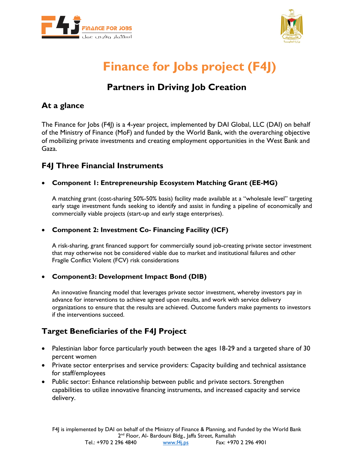



## **Finance for Jobs project (F4J)**

## **Partners in Driving Job Creation**

## **At a glance**

The Finance for Jobs (F4J) is a 4-year project, implemented by DAI Global, LLC (DAI) on behalf of the Ministry of Finance (MoF) and funded by the World Bank, with the overarching objective of mobilizing private investments and creating employment opportunities in the West Bank and Gaza.

### **F4J Three Financial Instruments**

#### • **Component 1: Entrepreneurship Ecosystem Matching Grant (EE-MG)**

A matching grant (cost-sharing 50%-50% basis) facility made available at a "wholesale level" targeting early stage investment funds seeking to identify and assist in funding a pipeline of economically and commercially viable projects (start-up and early stage enterprises).

#### • **Component 2: Investment Co- Financing Facility (ICF)**

A risk-sharing, grant financed support for commercially sound job-creating private sector investment that may otherwise not be considered viable due to market and institutional failures and other Fragile Conflict Violent (FCV) risk considerations

#### • **Component3: Development Impact Bond (DIB)**

An innovative financing model that leverages private sector investment, whereby investors pay in advance for interventions to achieve agreed upon results, and work with service delivery organizations to ensure that the results are achieved. Outcome funders make payments to investors if the interventions succeed.

## **Target Beneficiaries of the F4J Project**

- Palestinian labor force particularly youth between the ages 18-29 and a targeted share of 30 percent women
- Private sector enterprises and service providers: Capacity building and technical assistance for staff/employees
- Public sector: Enhance relationship between public and private sectors. Strengthen capabilities to utilize innovative financing instruments, and increased capacity and service delivery.